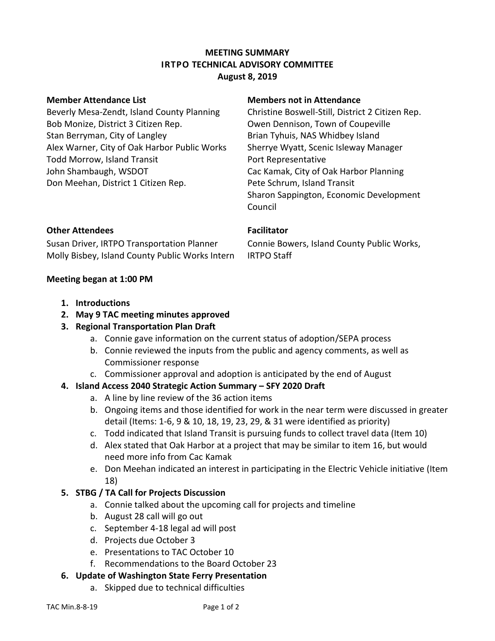### **MEETING SUMMARY IRTPO TECHNICAL ADVISORY COMMITTEE August 8, 2019**

Beverly Mesa-Zendt, Island County Planning Bob Monize, District 3 Citizen Rep. Stan Berryman, City of Langley Alex Warner, City of Oak Harbor Public Works Todd Morrow, Island Transit John Shambaugh, WSDOT Don Meehan, District 1 Citizen Rep.

### **Member Attendance List Members not in Attendance**

Christine Boswell-Still, District 2 Citizen Rep. Owen Dennison, Town of Coupeville Brian Tyhuis, NAS Whidbey Island Sherrye Wyatt, Scenic Isleway Manager Port Representative Cac Kamak, City of Oak Harbor Planning Pete Schrum, Island Transit Sharon Sappington, Economic Development Council

### **Other Attendees Facilitator**

Susan Driver, IRTPO Transportation Planner Molly Bisbey, Island County Public Works Intern

Connie Bowers, Island County Public Works, IRTPO Staff

### **Meeting began at 1:00 PM**

- **1. Introductions**
- **2. May 9 TAC meeting minutes approved**
- **3. Regional Transportation Plan Draft**
	- a. Connie gave information on the current status of adoption/SEPA process
	- b. Connie reviewed the inputs from the public and agency comments, as well as Commissioner response
	- c. Commissioner approval and adoption is anticipated by the end of August

# **4. Island Access 2040 Strategic Action Summary – SFY 2020 Draft**

- a. A line by line review of the 36 action items
- b. Ongoing items and those identified for work in the near term were discussed in greater detail (Items: 1-6, 9 & 10, 18, 19, 23, 29, & 31 were identified as priority)
- c. Todd indicated that Island Transit is pursuing funds to collect travel data (Item 10)
- d. Alex stated that Oak Harbor at a project that may be similar to item 16, but would need more info from Cac Kamak
- e. Don Meehan indicated an interest in participating in the Electric Vehicle initiative (Item 18)

# **5. STBG / TA Call for Projects Discussion**

- a. Connie talked about the upcoming call for projects and timeline
- b. August 28 call will go out
- c. September 4-18 legal ad will post
- d. Projects due October 3
- e. Presentations to TAC October 10
- f. Recommendations to the Board October 23

# **6. Update of Washington State Ferry Presentation**

a. Skipped due to technical difficulties